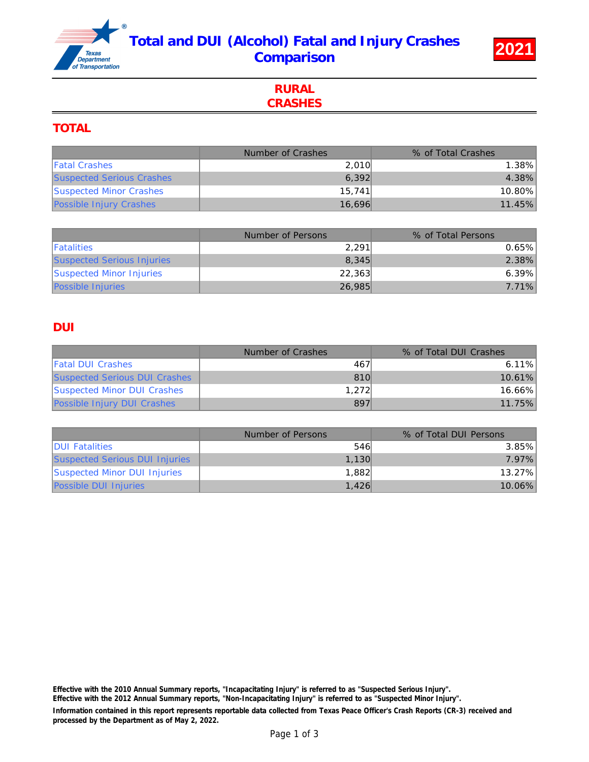# Total and DUI (Alcohol) Fatal and Injury Crashes Comparison 2021



# RURAL **CRASHES**

### TOTAL

|                                  | Number of Crashes | % of Total Crashes |
|----------------------------------|-------------------|--------------------|
| <b>Fatal Crashes</b>             | 2.010             | 1.38%              |
| <b>Suspected Serious Crashes</b> | 6.392             | 4.38%              |
| <b>Suspected Minor Crashes</b>   | 15.741            | 10.80%             |
| <b>Possible Injury Crashes</b>   | 16.696            | 11.45%             |

|                                   | Number of Persons | % of Total Persons |
|-----------------------------------|-------------------|--------------------|
| <b>Fatalities</b>                 | 2.291             | $0.65\%$           |
| <b>Suspected Serious Injuries</b> | 8.345             | $2.38\%$           |
| <b>Suspected Minor Injuries</b>   | 22.363            | $6.39\%$           |
| <b>Possible Injuries</b>          | 26,985            | $7.71\%$           |

## DUI

|                                      | Number of Crashes | % of Total DUI Crashes |
|--------------------------------------|-------------------|------------------------|
| <b>Fatal DUI Crashes</b>             | 467               | $6.11\%$               |
| <b>Suspected Serious DUI Crashes</b> | 810               | $10.61\%$              |
| <b>Suspected Minor DUI Crashes</b>   | 1.272             | 16.66%                 |
| <b>Possible Injury DUI Crashes</b>   | 897               | 11.75%                 |

|                                       | Number of Persons | % of Total DUI Persons |
|---------------------------------------|-------------------|------------------------|
| <b>IDUI Fatalities</b>                | 546               | 3.85%                  |
| <b>Suspected Serious DUI Injuries</b> | 1,130             | 7.97%                  |
| Suspected Minor DUI Injuries          | 1.882             | 13.27%                 |
| <b>Possible DUI Injuries</b>          | 1.426             | 10.06%                 |

Information contained in this report represents reportable data collected from Texas Peace Officer's Crash Reports (CR-3) received and processed by the Department as of May 2, 2022. Effective with the 2010 Annual Summary reports, "Incapacitating Injury" is referred to as "Suspected Serious Injury". Effective with the 2012 Annual Summary reports, "Non-Incapacitating Injury" is referred to as "Suspected Minor Injury".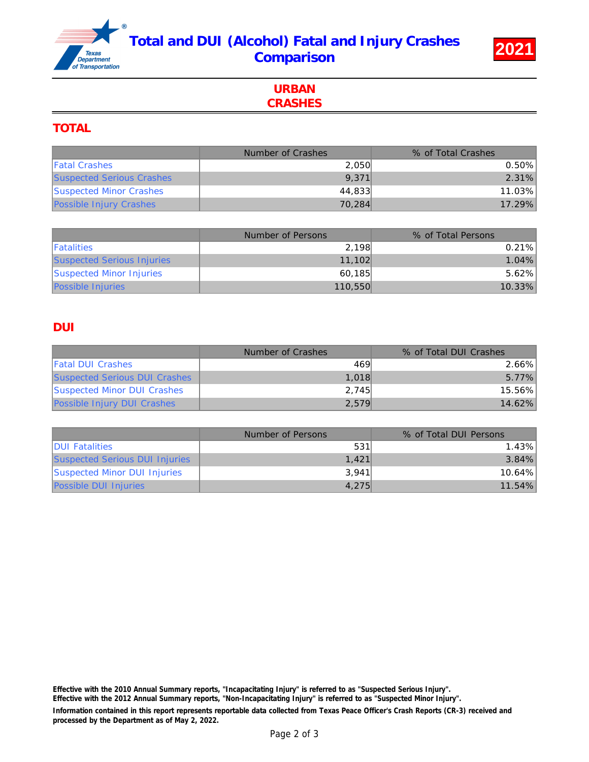# Total and DUI (Alcohol) Fatal and Injury Crashes Comparison 2021



## URBAN **CRASHES**

#### TOTAL

|                                  | Number of Crashes | % of Total Crashes |
|----------------------------------|-------------------|--------------------|
| <b>Fatal Crashes</b>             | 2,050             | 0.50%              |
| <b>Suspected Serious Crashes</b> | 9.371             | 2.31%              |
| <b>Suspected Minor Crashes</b>   | 44.833            | 11.03%             |
| <b>Possible Injury Crashes</b>   | 70.284            | 17.29%             |

|                                   | Number of Persons | % of Total Persons |
|-----------------------------------|-------------------|--------------------|
| <b>Fatalities</b>                 | 2.198             | $0.21\%$           |
| <b>Suspected Serious Injuries</b> | 11.102            | $1.04\%$           |
| <b>Suspected Minor Injuries</b>   | 60.185            | $5.62\%$           |
| <b>Possible Injuries</b>          | 110.550           | 10.33%             |

## DUI

|                                      | Number of Crashes | % of Total DUI Crashes |
|--------------------------------------|-------------------|------------------------|
| <b>Fatal DUI Crashes</b>             | 469               | 2.66%                  |
| <b>Suspected Serious DUI Crashes</b> | 1.018             | 5.77%                  |
| <b>Suspected Minor DUI Crashes</b>   | 2.745             | 15.56%                 |
| <b>Possible Injury DUI Crashes</b>   | 2,579             | 14.62%                 |

|                                       | Number of Persons | % of Total DUI Persons |
|---------------------------------------|-------------------|------------------------|
| <b>IDUI Fatalities</b>                | 531               | $1.43\%$               |
| <b>Suspected Serious DUI Injuries</b> | 1.421             | $3.84\%$               |
| Suspected Minor DUI Injuries          | 3.941             | $10.64\%$              |
| <b>Possible DUI Injuries</b>          | 4.275             | 11.54%                 |

Information contained in this report represents reportable data collected from Texas Peace Officer's Crash Reports (CR-3) received and processed by the Department as of May 2, 2022. Effective with the 2010 Annual Summary reports, "Incapacitating Injury" is referred to as "Suspected Serious Injury". Effective with the 2012 Annual Summary reports, "Non-Incapacitating Injury" is referred to as "Suspected Minor Injury".